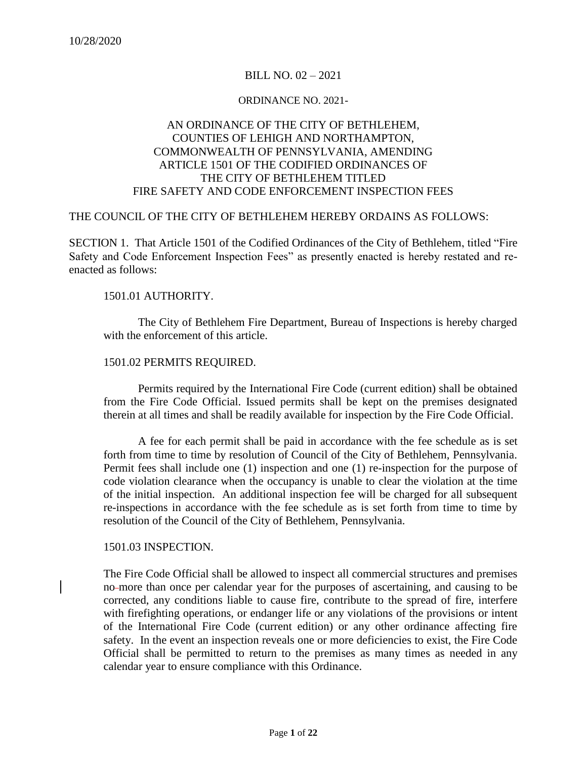## BILL NO. 02 – 2021

#### ORDINANCE NO. 2021-

# AN ORDINANCE OF THE CITY OF BETHLEHEM, COUNTIES OF LEHIGH AND NORTHAMPTON, COMMONWEALTH OF PENNSYLVANIA, AMENDING ARTICLE 1501 OF THE CODIFIED ORDINANCES OF THE CITY OF BETHLEHEM TITLED FIRE SAFETY AND CODE ENFORCEMENT INSPECTION FEES

## THE COUNCIL OF THE CITY OF BETHLEHEM HEREBY ORDAINS AS FOLLOWS:

SECTION 1.That Article 1501 of the Codified Ordinances of the City of Bethlehem, titled "Fire Safety and Code Enforcement Inspection Fees" as presently enacted is hereby restated and reenacted as follows:

### 1501.01 AUTHORITY.

The City of Bethlehem Fire Department, Bureau of Inspections is hereby charged with the enforcement of this article.

## 1501.02 PERMITS REQUIRED.

Permits required by the International Fire Code (current edition) shall be obtained from the Fire Code Official. Issued permits shall be kept on the premises designated therein at all times and shall be readily available for inspection by the Fire Code Official.

A fee for each permit shall be paid in accordance with the fee schedule as is set forth from time to time by resolution of Council of the City of Bethlehem, Pennsylvania. Permit fees shall include one (1) inspection and one (1) re-inspection for the purpose of code violation clearance when the occupancy is unable to clear the violation at the time of the initial inspection. An additional inspection fee will be charged for all subsequent re-inspections in accordance with the fee schedule as is set forth from time to time by resolution of the Council of the City of Bethlehem, Pennsylvania.

### 1501.03 INSPECTION.

The Fire Code Official shall be allowed to inspect all commercial structures and premises no more than once per calendar year for the purposes of ascertaining, and causing to be corrected, any conditions liable to cause fire, contribute to the spread of fire, interfere with firefighting operations, or endanger life or any violations of the provisions or intent of the International Fire Code (current edition) or any other ordinance affecting fire safety. In the event an inspection reveals one or more deficiencies to exist, the Fire Code Official shall be permitted to return to the premises as many times as needed in any calendar year to ensure compliance with this Ordinance.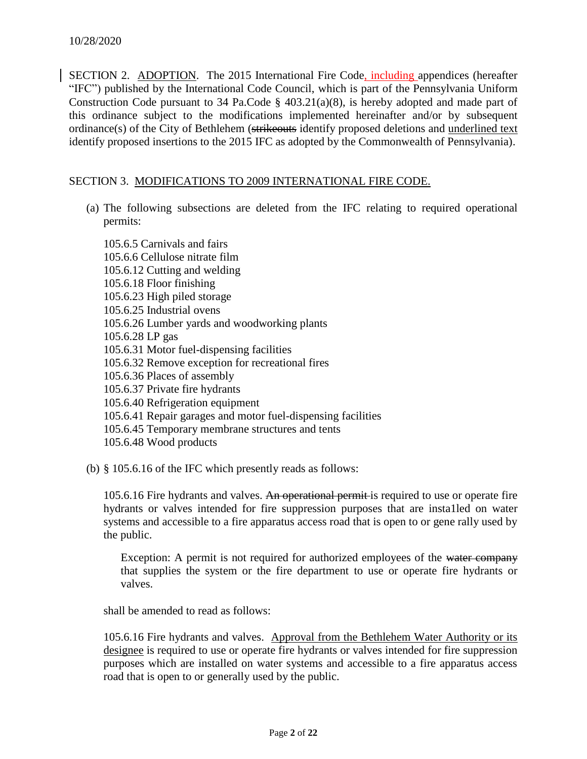SECTION 2. ADOPTION. The 2015 International Fire Code, including appendices (hereafter "IFC") published by the International Code Council, which is part of the Pennsylvania Uniform Construction Code pursuant to 34 Pa.Code § 403.21(a)(8), is hereby adopted and made part of this ordinance subject to the modifications implemented hereinafter and/or by subsequent ordinance(s) of the City of Bethlehem (strikeouts identify proposed deletions and underlined text identify proposed insertions to the 2015 IFC as adopted by the Commonwealth of Pennsylvania).

## SECTION 3. MODIFICATIONS TO 2009 INTERNATIONAL FIRE CODE.

(a) The following subsections are deleted from the IFC relating to required operational permits:

105.6.5 Carnivals and fairs 105.6.6 Cellulose nitrate film 105.6.12 Cutting and welding 105.6.18 Floor finishing 105.6.23 High piled storage 105.6.25 Industrial ovens 105.6.26 Lumber yards and woodworking plants 105.6.28 LP gas 105.6.31 Motor fuel-dispensing facilities 105.6.32 Remove exception for recreational fires 105.6.36 Places of assembly 105.6.37 Private fire hydrants 105.6.40 Refrigeration equipment 105.6.41 Repair garages and motor fuel-dispensing facilities 105.6.45 Temporary membrane structures and tents 105.6.48 Wood products

(b) § 105.6.16 of the IFC which presently reads as follows:

105.6.16 Fire hydrants and valves. An operational permit is required to use or operate fire hydrants or valves intended for fire suppression purposes that are insta1led on water systems and accessible to a fire apparatus access road that is open to or gene rally used by the public.

Exception: A permit is not required for authorized employees of the water company that supplies the system or the fire department to use or operate fire hydrants or valves.

shall be amended to read as follows:

105.6.16 Fire hydrants and valves. Approval from the Bethlehem Water Authority or its designee is required to use or operate fire hydrants or valves intended for fire suppression purposes which are installed on water systems and accessible to a fire apparatus access road that is open to or generally used by the public.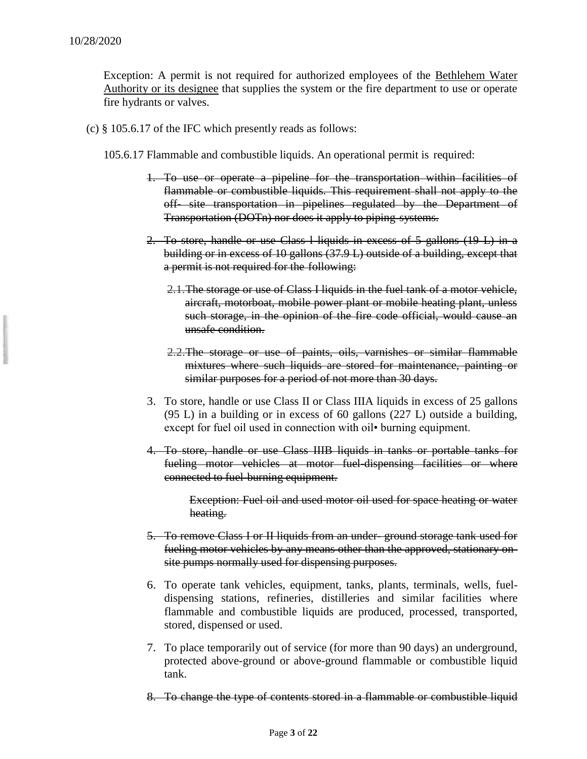Exception: A permit is not required for authorized employees of the Bethlehem Water Authority or its designee that supplies the system or the fire department to use or operate fire hydrants or valves.

- (c) § 105.6.17 of the IFC which presently reads as follows:
	- 105.6.17 Flammable and combustible liquids. An operational permit is required:
		- 1. To use or operate a pipeline for the transportation within facilities of flammable or combustible liquids. This requirement shall not apply to the off- site transportation in pipelines regulated by the Department of Transportation (DOTn) nor does it apply to piping systems.
		- 2. To store, handle or use Class l liquids in excess of 5 gallons (19 L) in a building or in excess of 10 gallons (37.9 L) outside of a building, except that a permit is not required for the following:
			- 2.1.The storage or use of Class I liquids in the fuel tank of a motor vehicle, aircraft, motorboat, mobile power plant or mobile heating plant, unless such storage, in the opinion of the fire code official, would cause an unsafe condition.
			- 2.2.The storage or use of paints, oils, varnishes or similar flammable mixtures where such liquids are stored for maintenance, painting or similar purposes for a period of not more than 30 days.
		- 3. To store, handle or use Class II or Class IIIA liquids in excess of 25 gallons (95 L) in a building or in excess of 60 gallons (227 L) outside a building, except for fuel oil used in connection with oil• burning equipment.
		- 4. To store, handle or use Class IIIB liquids in tanks or portable tanks for fueling motor vehicles at motor fuel-dispensing facilities or where connected to fuel-burning equipment.

Exception: Fuel oil and used motor oil used for space heating or water heating.

- 5. To remove Class I or II liquids from an under- ground storage tank used for fueling motor vehicles by any means other than the approved, stationary onsite pumps normally used for dispensing purposes.
- 6. To operate tank vehicles, equipment, tanks, plants, terminals, wells, fueldispensing stations, refineries, distilleries and similar facilities where flammable and combustible liquids are produced, processed, transported, stored, dispensed or used.
- 7. To place temporarily out of service (for more than 90 days) an underground, protected above-ground or above-ground flammable or combustible liquid tank.
- 8. To change the type of contents stored in a flammable or combustible liquid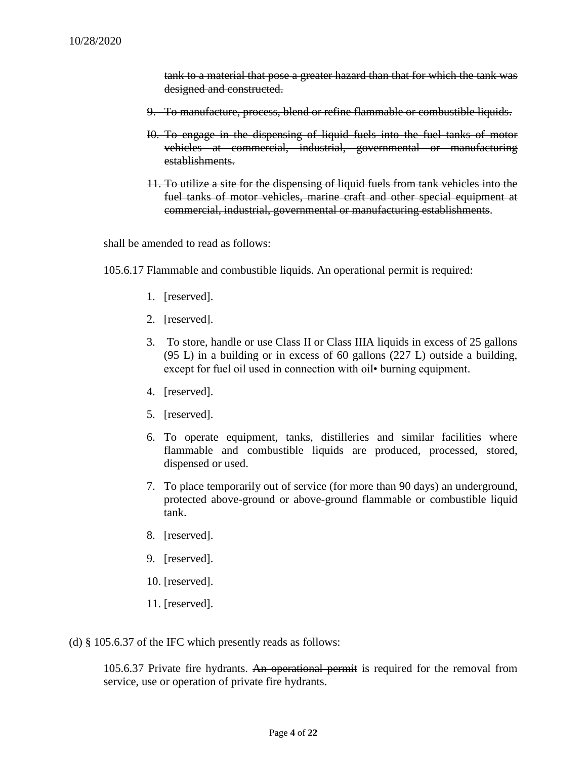tank to a material that pose a greater hazard than that for which the tank was designed and constructed.

- 9. To manufacture, process, blend or refine flammable or combustible liquids.
- I0. To engage in the dispensing of liquid fuels into the fuel tanks of motor vehicles at commercial, industrial, governmental or manufacturing establishments.
- 11. To utilize a site for the dispensing of liquid fuels from tank vehicles into the fuel tanks of motor vehicles, marine craft and other special equipment at commercial, industrial, governmental or manufacturing establishments.

shall be amended to read as follows:

- 105.6.17 Flammable and combustible liquids. An operational permit is required:
	- 1. [reserved].
	- 2. [reserved].
	- 3. To store, handle or use Class II or Class IIIA liquids in excess of 25 gallons (95 L) in a building or in excess of 60 gallons (227 L) outside a building, except for fuel oil used in connection with oil• burning equipment.
	- 4. [reserved].
	- 5. [reserved].
	- 6. To operate equipment, tanks, distilleries and similar facilities where flammable and combustible liquids are produced, processed, stored, dispensed or used.
	- 7. To place temporarily out of service (for more than 90 days) an underground, protected above-ground or above-ground flammable or combustible liquid tank.
	- 8. [reserved].
	- 9. [reserved].
	- 10. [reserved].
	- 11. [reserved].

(d) § 105.6.37 of the IFC which presently reads as follows:

105.6.37 Private fire hydrants. An operational permit is required for the removal from service, use or operation of private fire hydrants.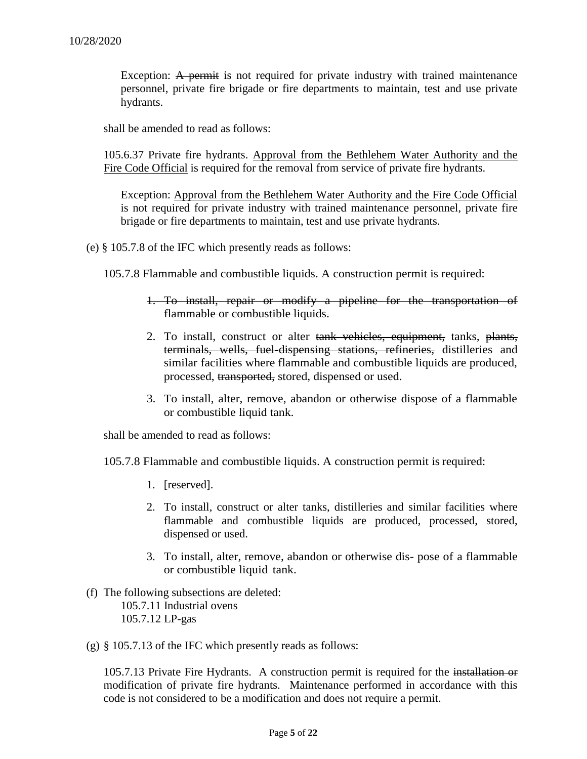Exception: A permit is not required for private industry with trained maintenance personnel, private fire brigade or fire departments to maintain, test and use private hydrants.

shall be amended to read as follows:

105.6.37 Private fire hydrants. Approval from the Bethlehem Water Authority and the Fire Code Official is required for the removal from service of private fire hydrants.

Exception: Approval from the Bethlehem Water Authority and the Fire Code Official is not required for private industry with trained maintenance personnel, private fire brigade or fire departments to maintain, test and use private hydrants.

(e) § 105.7.8 of the IFC which presently reads as follows:

105.7.8 Flammable and combustible liquids. A construction permit is required:

- 1. To install, repair or modify a pipeline for the transportation of flammable or combustible liquids.
- 2. To install, construct or alter tank vehicles, equipment, tanks, plants, terminals, wells, fuel-dispensing stations, refineries, distilleries and similar facilities where flammable and combustible liquids are produced, processed, transported, stored, dispensed or used.
- 3. To install, alter, remove, abandon or otherwise dispose of a flammable or combustible liquid tank.

shall be amended to read as follows:

105.7.8 Flammable and combustible liquids. A construction permit isrequired:

- 1. [reserved].
- 2. To install, construct or alter tanks, distilleries and similar facilities where flammable and combustible liquids are produced, processed, stored, dispensed or used.
- 3. To install, alter, remove, abandon or otherwise dis- pose of a flammable or combustible liquid tank.
- (f) The following subsections are deleted: 105.7.11 Industrial ovens 105.7.12 LP-gas
- (g) § 105.7.13 of the IFC which presently reads as follows:

105.7.13 Private Fire Hydrants. A construction permit is required for the installation or modification of private fire hydrants. Maintenance performed in accordance with this code is not considered to be a modification and does not require a permit.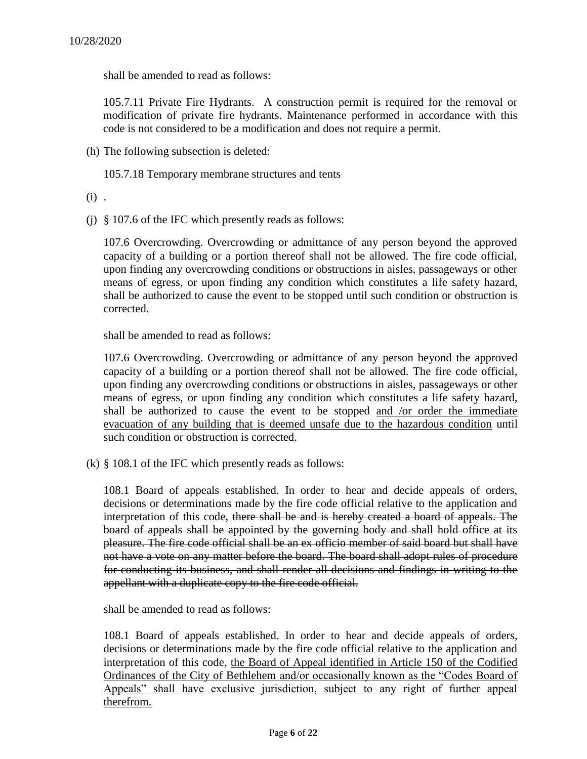shall be amended to read as follows:

105.7.11 Private Fire Hydrants. A construction permit is required for the removal or modification of private fire hydrants. Maintenance performed in accordance with this code is not considered to be a modification and does not require a permit.

(h) The following subsection is deleted:

105.7.18 Temporary membrane structures and tents

 $(i)$ .

(j) § 107.6 of the IFC which presently reads as follows:

107.6 Overcrowding. Overcrowding or admittance of any person beyond the approved capacity of a building or a portion thereof shall not be allowed. The fire code official, upon finding any overcrowding conditions or obstructions in aisles, passageways or other means of egress, or upon finding any condition which constitutes a life safety hazard, shall be authorized to cause the event to be stopped until such condition or obstruction is corrected.

shall be amended to read as follows:

107.6 Overcrowding. Overcrowding or admittance of any person beyond the approved capacity of a building or a portion thereof shall not be allowed. The fire code official, upon finding any overcrowding conditions or obstructions in aisles, passageways or other means of egress, or upon finding any condition which constitutes a life safety hazard, shall be authorized to cause the event to be stopped and /or order the immediate evacuation of any building that is deemed unsafe due to the hazardous condition until such condition or obstruction is corrected.

(k) § 108.1 of the IFC which presently reads as follows:

108.1 Board of appeals established. In order to hear and decide appeals of orders, decisions or determinations made by the fire code official relative to the application and interpretation of this code, there shall be and is hereby created a board of appeals. The board of appeals shall be appointed by the governing body and shall hold office at its pleasure. The fire code official shall be an ex officio member of said board but shall have not have a vote on any matter before the board. The board shall adopt rules of procedure for conducting its business, and shall render all decisions and findings in writing to the appellant with a duplicate copy to the fire code official.

shall be amended to read as follows:

108.1 Board of appeals established. In order to hear and decide appeals of orders, decisions or determinations made by the fire code official relative to the application and interpretation of this code, the Board of Appeal identified in Article 150 of the Codified Ordinances of the City of Bethlehem and/or occasionally known as the "Codes Board of Appeals" shall have exclusive jurisdiction, subject to any right of further appeal therefrom.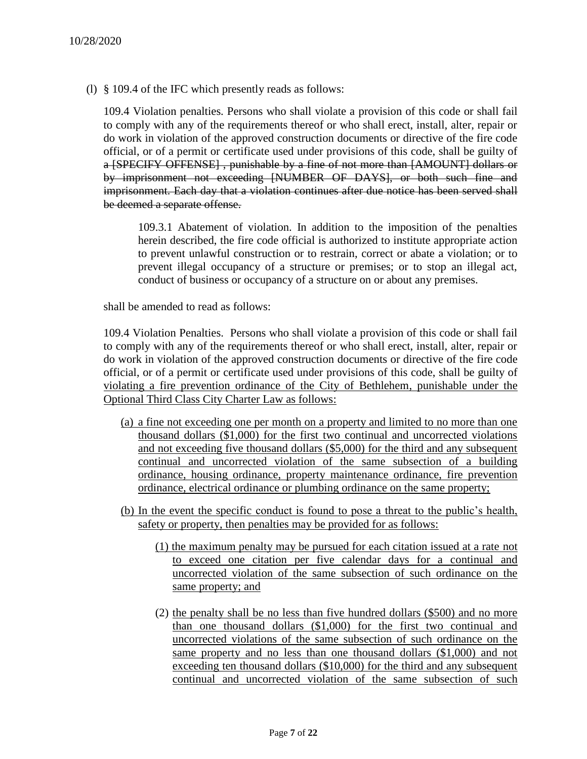(l) § 109.4 of the IFC which presently reads as follows:

109.4 Violation penalties. Persons who shall violate a provision of this code or shall fail to comply with any of the requirements thereof or who shall erect, install, alter, repair or do work in violation of the approved construction documents or directive of the fire code official, or of a permit or certificate used under provisions of this code, shall be guilty of a [SPECIFY OFFENSE] , punishable by a fine of not more than [AMOUNT] dollars or by imprisonment not exceeding [NUMBER OF DAYS], or both such fine and imprisonment. Each day that a violation continues after due notice has been served shall be deemed a separate offense.

109.3.1 Abatement of violation. In addition to the imposition of the penalties herein described, the fire code official is authorized to institute appropriate action to prevent unlawful construction or to restrain, correct or abate a violation; or to prevent illegal occupancy of a structure or premises; or to stop an illegal act, conduct of business or occupancy of a structure on or about any premises.

shall be amended to read as follows:

109.4 Violation Penalties. Persons who shall violate a provision of this code or shall fail to comply with any of the requirements thereof or who shall erect, install, alter, repair or do work in violation of the approved construction documents or directive of the fire code official, or of a permit or certificate used under provisions of this code, shall be guilty of violating a fire prevention ordinance of the City of Bethlehem, punishable under the Optional Third Class City Charter Law as follows:

- (a) a fine not exceeding one per month on a property and limited to no more than one thousand dollars (\$1,000) for the first two continual and uncorrected violations and not exceeding five thousand dollars (\$5,000) for the third and any subsequent continual and uncorrected violation of the same subsection of a building ordinance, housing ordinance, property maintenance ordinance, fire prevention ordinance, electrical ordinance or plumbing ordinance on the same property;
- (b) In the event the specific conduct is found to pose a threat to the public's health, safety or property, then penalties may be provided for as follows:
	- (1) the maximum penalty may be pursued for each citation issued at a rate not to exceed one citation per five calendar days for a continual and uncorrected violation of the same subsection of such ordinance on the same property; and
	- (2) the penalty shall be no less than five hundred dollars (\$500) and no more than one thousand dollars (\$1,000) for the first two continual and uncorrected violations of the same subsection of such ordinance on the same property and no less than one thousand dollars (\$1,000) and not exceeding ten thousand dollars (\$10,000) for the third and any subsequent continual and uncorrected violation of the same subsection of such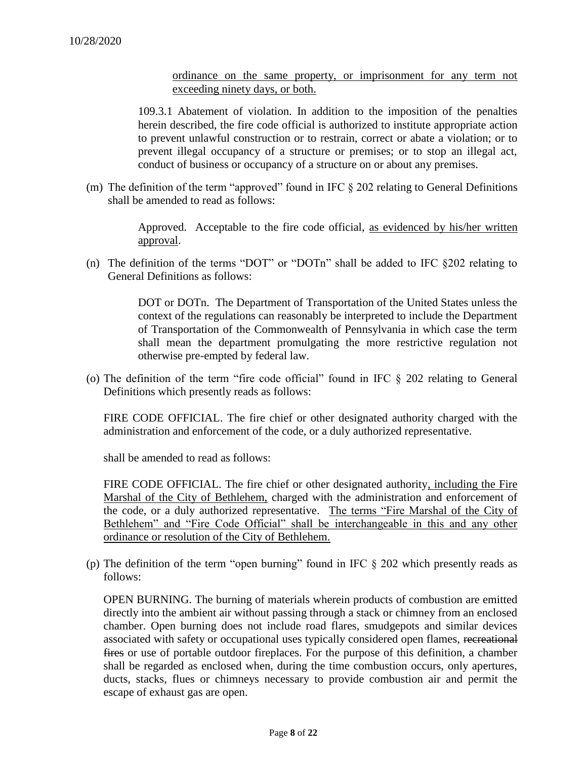ordinance on the same property, or imprisonment for any term not exceeding ninety days, or both.

109.3.1 Abatement of violation. In addition to the imposition of the penalties herein described, the fire code official is authorized to institute appropriate action to prevent unlawful construction or to restrain, correct or abate a violation; or to prevent illegal occupancy of a structure or premises; or to stop an illegal act, conduct of business or occupancy of a structure on or about any premises.

(m) The definition of the term "approved" found in IFC  $\S 202$  relating to General Definitions shall be amended to read as follows:

> Approved. Acceptable to the fire code official, as evidenced by his/her written approval.

(n) The definition of the terms "DOT" or "DOTn" shall be added to IFC §202 relating to General Definitions as follows:

> DOT or DOTn. The Department of Transportation of the United States unless the context of the regulations can reasonably be interpreted to include the Department of Transportation of the Commonwealth of Pennsylvania in which case the term shall mean the department promulgating the more restrictive regulation not otherwise pre-empted by federal law.

(o) The definition of the term "fire code official" found in IFC § 202 relating to General Definitions which presently reads as follows:

FIRE CODE OFFICIAL. The fire chief or other designated authority charged with the administration and enforcement of the code, or a duly authorized representative.

shall be amended to read as follows:

FIRE CODE OFFICIAL. The fire chief or other designated authority, including the Fire Marshal of the City of Bethlehem, charged with the administration and enforcement of the code, or a duly authorized representative. The terms "Fire Marshal of the City of Bethlehem" and "Fire Code Official" shall be interchangeable in this and any other ordinance or resolution of the City of Bethlehem.

(p) The definition of the term "open burning" found in IFC § 202 which presently reads as follows:

OPEN BURNING. The burning of materials wherein products of combustion are emitted directly into the ambient air without passing through a stack or chimney from an enclosed chamber. Open burning does not include road flares, smudgepots and similar devices associated with safety or occupational uses typically considered open flames, recreational fires or use of portable outdoor fireplaces. For the purpose of this definition, a chamber shall be regarded as enclosed when, during the time combustion occurs, only apertures, ducts, stacks, flues or chimneys necessary to provide combustion air and permit the escape of exhaust gas are open.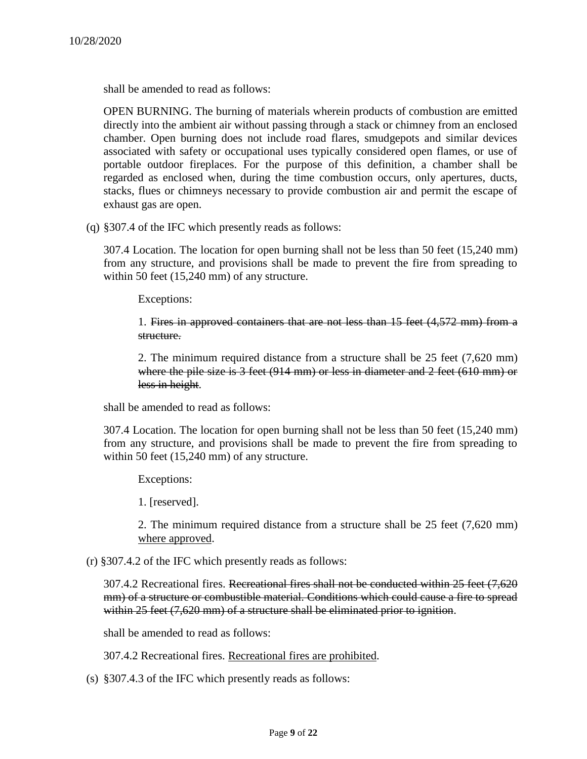shall be amended to read as follows:

OPEN BURNING. The burning of materials wherein products of combustion are emitted directly into the ambient air without passing through a stack or chimney from an enclosed chamber. Open burning does not include road flares, smudgepots and similar devices associated with safety or occupational uses typically considered open flames, or use of portable outdoor fireplaces. For the purpose of this definition, a chamber shall be regarded as enclosed when, during the time combustion occurs, only apertures, ducts, stacks, flues or chimneys necessary to provide combustion air and permit the escape of exhaust gas are open.

(q) §307.4 of the IFC which presently reads as follows:

307.4 Location. The location for open burning shall not be less than 50 feet (15,240 mm) from any structure, and provisions shall be made to prevent the fire from spreading to within 50 feet (15,240 mm) of any structure.

Exceptions:

1. Fires in approved containers that are not less than 15 feet (4,572 mm) from a structure.

2. The minimum required distance from a structure shall be 25 feet (7,620 mm) where the pile size is 3 feet (914 mm) or less in diameter and 2 feet (610 mm) or less in height.

shall be amended to read as follows:

307.4 Location. The location for open burning shall not be less than 50 feet (15,240 mm) from any structure, and provisions shall be made to prevent the fire from spreading to within 50 feet (15,240 mm) of any structure.

Exceptions:

1. [reserved].

2. The minimum required distance from a structure shall be 25 feet (7,620 mm) where approved.

(r) §307.4.2 of the IFC which presently reads as follows:

307.4.2 Recreational fires. Recreational fires shall not be conducted within 25 feet (7,620 mm) of a structure or combustible material. Conditions which could cause a fire to spread within 25 feet (7,620 mm) of a structure shall be eliminated prior to ignition.

shall be amended to read as follows:

307.4.2 Recreational fires. Recreational fires are prohibited.

(s) §307.4.3 of the IFC which presently reads as follows: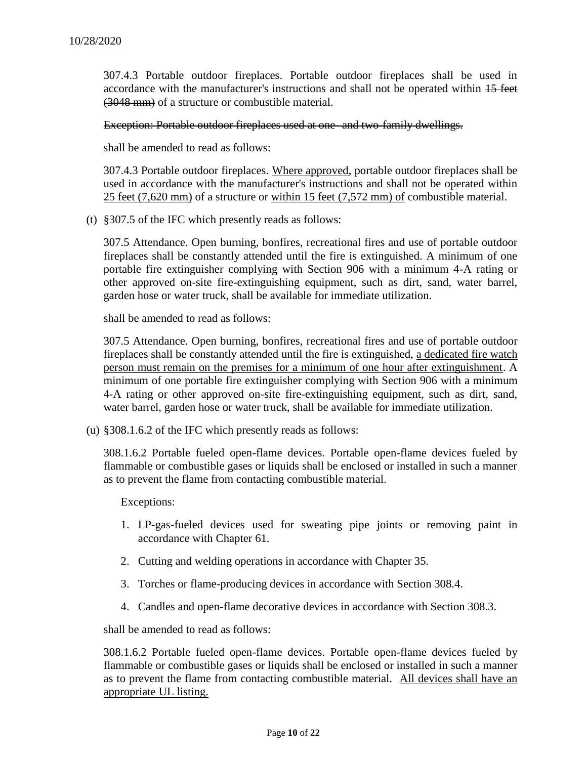307.4.3 Portable outdoor fireplaces. Portable outdoor fireplaces shall be used in accordance with the manufacturer's instructions and shall not be operated within 15 feet (3048 mm) of a structure or combustible material.

Exception: Portable outdoor fireplaces used at one- and two-family dwellings.

shall be amended to read as follows:

307.4.3 Portable outdoor fireplaces. Where approved, portable outdoor fireplaces shall be used in accordance with the manufacturer's instructions and shall not be operated within 25 feet (7,620 mm) of a structure or within 15 feet (7,572 mm) of combustible material.

(t) §307.5 of the IFC which presently reads as follows:

307.5 Attendance. Open burning, bonfires, recreational fires and use of portable outdoor fireplaces shall be constantly attended until the fire is extinguished. A minimum of one portable fire extinguisher complying with Section 906 with a minimum 4-A rating or other approved on-site fire-extinguishing equipment, such as dirt, sand, water barrel, garden hose or water truck, shall be available for immediate utilization.

shall be amended to read as follows:

307.5 Attendance. Open burning, bonfires, recreational fires and use of portable outdoor fireplaces shall be constantly attended until the fire is extinguished, a dedicated fire watch person must remain on the premises for a minimum of one hour after extinguishment. A minimum of one portable fire extinguisher complying with Section 906 with a minimum 4-A rating or other approved on-site fire-extinguishing equipment, such as dirt, sand, water barrel, garden hose or water truck, shall be available for immediate utilization.

(u) §308.1.6.2 of the IFC which presently reads as follows:

308.1.6.2 Portable fueled open-flame devices. Portable open-flame devices fueled by flammable or combustible gases or liquids shall be enclosed or installed in such a manner as to prevent the flame from contacting combustible material.

Exceptions:

- 1. LP-gas-fueled devices used for sweating pipe joints or removing paint in accordance with Chapter 61.
- 2. Cutting and welding operations in accordance with Chapter 35.
- 3. Torches or flame-producing devices in accordance with Section 308.4.
- 4. Candles and open-flame decorative devices in accordance with Section 308.3.

shall be amended to read as follows:

308.1.6.2 Portable fueled open-flame devices. Portable open-flame devices fueled by flammable or combustible gases or liquids shall be enclosed or installed in such a manner as to prevent the flame from contacting combustible material. All devices shall have an appropriate UL listing.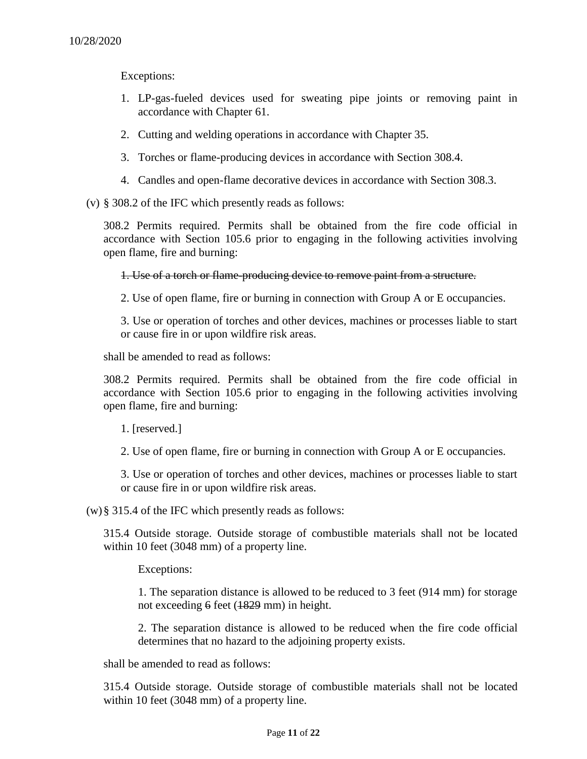Exceptions:

- 1. LP-gas-fueled devices used for sweating pipe joints or removing paint in accordance with Chapter 61.
- 2. Cutting and welding operations in accordance with Chapter 35.
- 3. Torches or flame-producing devices in accordance with Section 308.4.
- 4. Candles and open-flame decorative devices in accordance with Section 308.3.

(v) § 308.2 of the IFC which presently reads as follows:

308.2 Permits required. Permits shall be obtained from the fire code official in accordance with Section 105.6 prior to engaging in the following activities involving open flame, fire and burning:

1. Use of a torch or flame-producing device to remove paint from a structure.

2. Use of open flame, fire or burning in connection with Group A or E occupancies.

3. Use or operation of torches and other devices, machines or processes liable to start or cause fire in or upon wildfire risk areas.

shall be amended to read as follows:

308.2 Permits required. Permits shall be obtained from the fire code official in accordance with Section 105.6 prior to engaging in the following activities involving open flame, fire and burning:

1. [reserved.]

2. Use of open flame, fire or burning in connection with Group A or E occupancies.

3. Use or operation of torches and other devices, machines or processes liable to start or cause fire in or upon wildfire risk areas.

(w)§ 315.4 of the IFC which presently reads as follows:

315.4 Outside storage. Outside storage of combustible materials shall not be located within 10 feet (3048 mm) of a property line.

Exceptions:

1. The separation distance is allowed to be reduced to 3 feet (914 mm) for storage not exceeding 6 feet (1829 mm) in height.

2. The separation distance is allowed to be reduced when the fire code official determines that no hazard to the adjoining property exists.

shall be amended to read as follows:

315.4 Outside storage. Outside storage of combustible materials shall not be located within 10 feet (3048 mm) of a property line.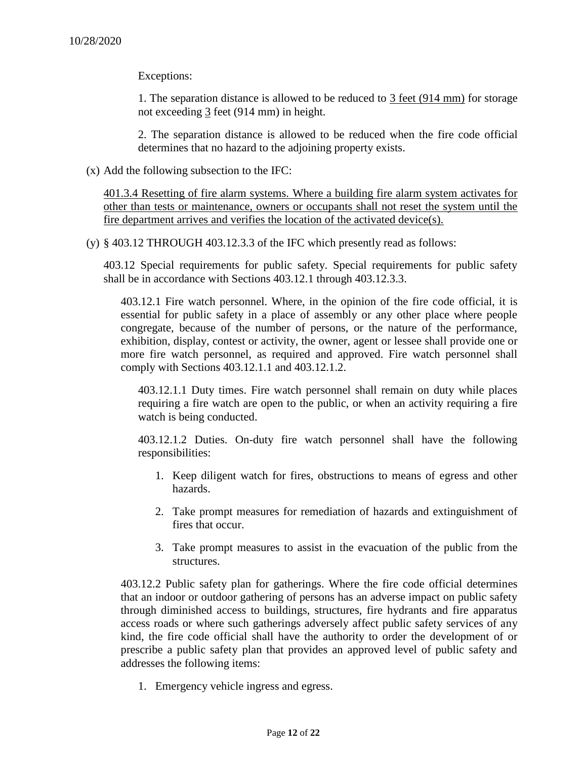Exceptions:

1. The separation distance is allowed to be reduced to 3 feet (914 mm) for storage not exceeding 3 feet (914 mm) in height.

2. The separation distance is allowed to be reduced when the fire code official determines that no hazard to the adjoining property exists.

(x) Add the following subsection to the IFC:

401.3.4 Resetting of fire alarm systems. Where a building fire alarm system activates for other than tests or maintenance, owners or occupants shall not reset the system until the fire department arrives and verifies the location of the activated device(s).

 $(y)$  § 403.12 THROUGH 403.12.3.3 of the IFC which presently read as follows:

403.12 Special requirements for public safety. Special requirements for public safety shall be in accordance with Sections 403.12.1 through 403.12.3.3.

403.12.1 Fire watch personnel. Where, in the opinion of the fire code official, it is essential for public safety in a place of assembly or any other place where people congregate, because of the number of persons, or the nature of the performance, exhibition, display, contest or activity, the owner, agent or lessee shall provide one or more fire watch personnel, as required and approved. Fire watch personnel shall comply with Sections 403.12.1.1 and 403.12.1.2.

403.12.1.1 Duty times. Fire watch personnel shall remain on duty while places requiring a fire watch are open to the public, or when an activity requiring a fire watch is being conducted.

403.12.1.2 Duties. On-duty fire watch personnel shall have the following responsibilities:

- 1. Keep diligent watch for fires, obstructions to means of egress and other hazards.
- 2. Take prompt measures for remediation of hazards and extinguishment of fires that occur.
- 3. Take prompt measures to assist in the evacuation of the public from the structures.

403.12.2 Public safety plan for gatherings. Where the fire code official determines that an indoor or outdoor gathering of persons has an adverse impact on public safety through diminished access to buildings, structures, fire hydrants and fire apparatus access roads or where such gatherings adversely affect public safety services of any kind, the fire code official shall have the authority to order the development of or prescribe a public safety plan that provides an approved level of public safety and addresses the following items:

1. Emergency vehicle ingress and egress.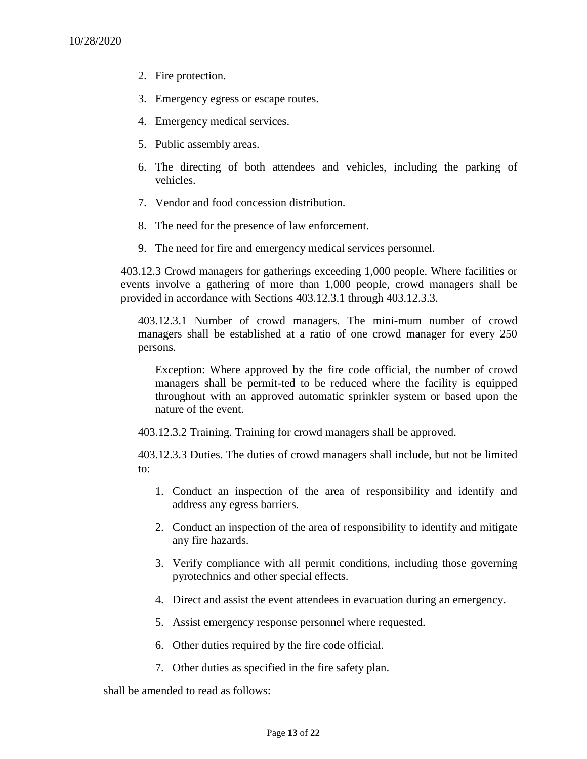- 2. Fire protection.
- 3. Emergency egress or escape routes.
- 4. Emergency medical services.
- 5. Public assembly areas.
- 6. The directing of both attendees and vehicles, including the parking of vehicles.
- 7. Vendor and food concession distribution.
- 8. The need for the presence of law enforcement.
- 9. The need for fire and emergency medical services personnel.

403.12.3 Crowd managers for gatherings exceeding 1,000 people. Where facilities or events involve a gathering of more than 1,000 people, crowd managers shall be provided in accordance with Sections 403.12.3.1 through 403.12.3.3.

403.12.3.1 Number of crowd managers. The mini-mum number of crowd managers shall be established at a ratio of one crowd manager for every 250 persons.

Exception: Where approved by the fire code official, the number of crowd managers shall be permit-ted to be reduced where the facility is equipped throughout with an approved automatic sprinkler system or based upon the nature of the event.

403.12.3.2 Training. Training for crowd managers shall be approved.

403.12.3.3 Duties. The duties of crowd managers shall include, but not be limited to:

- 1. Conduct an inspection of the area of responsibility and identify and address any egress barriers.
- 2. Conduct an inspection of the area of responsibility to identify and mitigate any fire hazards.
- 3. Verify compliance with all permit conditions, including those governing pyrotechnics and other special effects.
- 4. Direct and assist the event attendees in evacuation during an emergency.
- 5. Assist emergency response personnel where requested.
- 6. Other duties required by the fire code official.
- 7. Other duties as specified in the fire safety plan.

shall be amended to read as follows: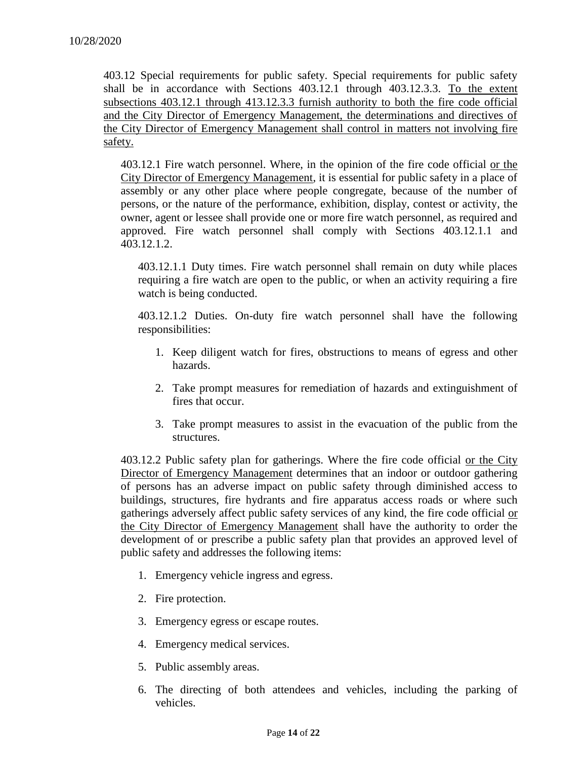403.12 Special requirements for public safety. Special requirements for public safety shall be in accordance with Sections 403.12.1 through 403.12.3.3. To the extent subsections 403.12.1 through 413.12.3.3 furnish authority to both the fire code official and the City Director of Emergency Management, the determinations and directives of the City Director of Emergency Management shall control in matters not involving fire safety.

403.12.1 Fire watch personnel. Where, in the opinion of the fire code official or the City Director of Emergency Management, it is essential for public safety in a place of assembly or any other place where people congregate, because of the number of persons, or the nature of the performance, exhibition, display, contest or activity, the owner, agent or lessee shall provide one or more fire watch personnel, as required and approved. Fire watch personnel shall comply with Sections 403.12.1.1 and 403.12.1.2.

403.12.1.1 Duty times. Fire watch personnel shall remain on duty while places requiring a fire watch are open to the public, or when an activity requiring a fire watch is being conducted.

403.12.1.2 Duties. On-duty fire watch personnel shall have the following responsibilities:

- 1. Keep diligent watch for fires, obstructions to means of egress and other hazards.
- 2. Take prompt measures for remediation of hazards and extinguishment of fires that occur.
- 3. Take prompt measures to assist in the evacuation of the public from the structures.

403.12.2 Public safety plan for gatherings. Where the fire code official or the City Director of Emergency Management determines that an indoor or outdoor gathering of persons has an adverse impact on public safety through diminished access to buildings, structures, fire hydrants and fire apparatus access roads or where such gatherings adversely affect public safety services of any kind, the fire code official or the City Director of Emergency Management shall have the authority to order the development of or prescribe a public safety plan that provides an approved level of public safety and addresses the following items:

- 1. Emergency vehicle ingress and egress.
- 2. Fire protection.
- 3. Emergency egress or escape routes.
- 4. Emergency medical services.
- 5. Public assembly areas.
- 6. The directing of both attendees and vehicles, including the parking of vehicles.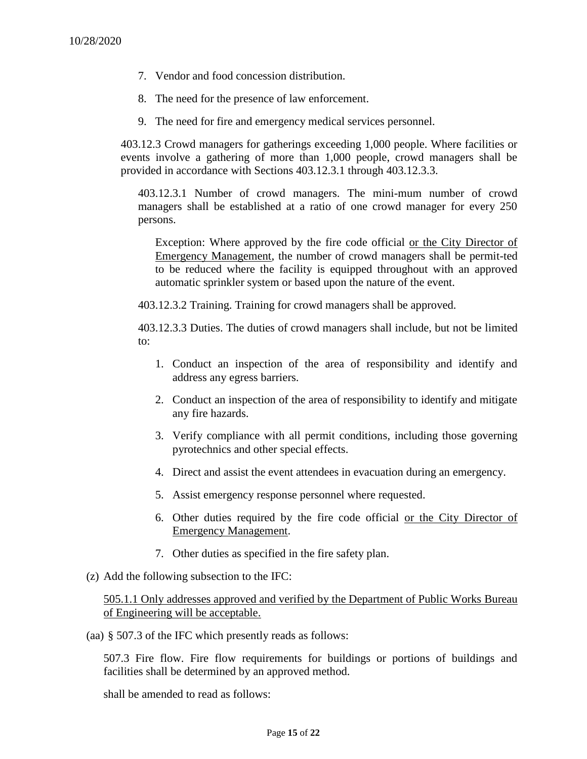- 7. Vendor and food concession distribution.
- 8. The need for the presence of law enforcement.
- 9. The need for fire and emergency medical services personnel.

403.12.3 Crowd managers for gatherings exceeding 1,000 people. Where facilities or events involve a gathering of more than 1,000 people, crowd managers shall be provided in accordance with Sections 403.12.3.1 through 403.12.3.3.

403.12.3.1 Number of crowd managers. The mini-mum number of crowd managers shall be established at a ratio of one crowd manager for every 250 persons.

Exception: Where approved by the fire code official or the City Director of Emergency Management, the number of crowd managers shall be permit-ted to be reduced where the facility is equipped throughout with an approved automatic sprinkler system or based upon the nature of the event.

403.12.3.2 Training. Training for crowd managers shall be approved.

403.12.3.3 Duties. The duties of crowd managers shall include, but not be limited to:

- 1. Conduct an inspection of the area of responsibility and identify and address any egress barriers.
- 2. Conduct an inspection of the area of responsibility to identify and mitigate any fire hazards.
- 3. Verify compliance with all permit conditions, including those governing pyrotechnics and other special effects.
- 4. Direct and assist the event attendees in evacuation during an emergency.
- 5. Assist emergency response personnel where requested.
- 6. Other duties required by the fire code official or the City Director of Emergency Management.
- 7. Other duties as specified in the fire safety plan.
- (z) Add the following subsection to the IFC:

505.1.1 Only addresses approved and verified by the Department of Public Works Bureau of Engineering will be acceptable.

(aa) § 507.3 of the IFC which presently reads as follows:

507.3 Fire flow. Fire flow requirements for buildings or portions of buildings and facilities shall be determined by an approved method.

shall be amended to read as follows: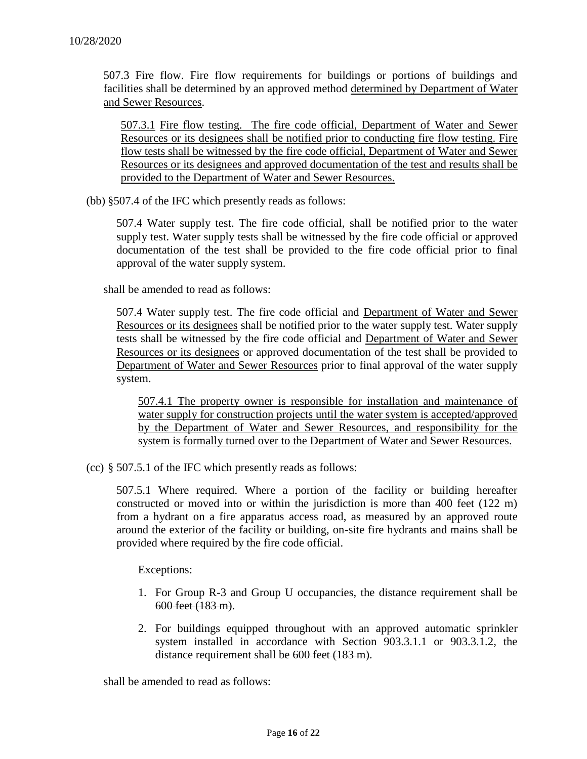507.3 Fire flow. Fire flow requirements for buildings or portions of buildings and facilities shall be determined by an approved method determined by Department of Water and Sewer Resources.

507.3.1 Fire flow testing. The fire code official, Department of Water and Sewer Resources or its designees shall be notified prior to conducting fire flow testing. Fire flow tests shall be witnessed by the fire code official, Department of Water and Sewer Resources or its designees and approved documentation of the test and results shall be provided to the Department of Water and Sewer Resources.

(bb) §507.4 of the IFC which presently reads as follows:

507.4 Water supply test. The fire code official, shall be notified prior to the water supply test. Water supply tests shall be witnessed by the fire code official or approved documentation of the test shall be provided to the fire code official prior to final approval of the water supply system.

shall be amended to read as follows:

507.4 Water supply test. The fire code official and Department of Water and Sewer Resources or its designees shall be notified prior to the water supply test. Water supply tests shall be witnessed by the fire code official and Department of Water and Sewer Resources or its designees or approved documentation of the test shall be provided to Department of Water and Sewer Resources prior to final approval of the water supply system.

507.4.1 The property owner is responsible for installation and maintenance of water supply for construction projects until the water system is accepted/approved by the Department of Water and Sewer Resources, and responsibility for the system is formally turned over to the Department of Water and Sewer Resources.

(cc) § 507.5.1 of the IFC which presently reads as follows:

507.5.1 Where required. Where a portion of the facility or building hereafter constructed or moved into or within the jurisdiction is more than 400 feet (122 m) from a hydrant on a fire apparatus access road, as measured by an approved route around the exterior of the facility or building, on-site fire hydrants and mains shall be provided where required by the fire code official.

Exceptions:

- 1. For Group R-3 and Group U occupancies, the distance requirement shall be 600 feet (183 m).
- 2. For buildings equipped throughout with an approved automatic sprinkler system installed in accordance with Section 903.3.1.1 or 903.3.1.2, the distance requirement shall be 600 feet (183 m).

shall be amended to read as follows: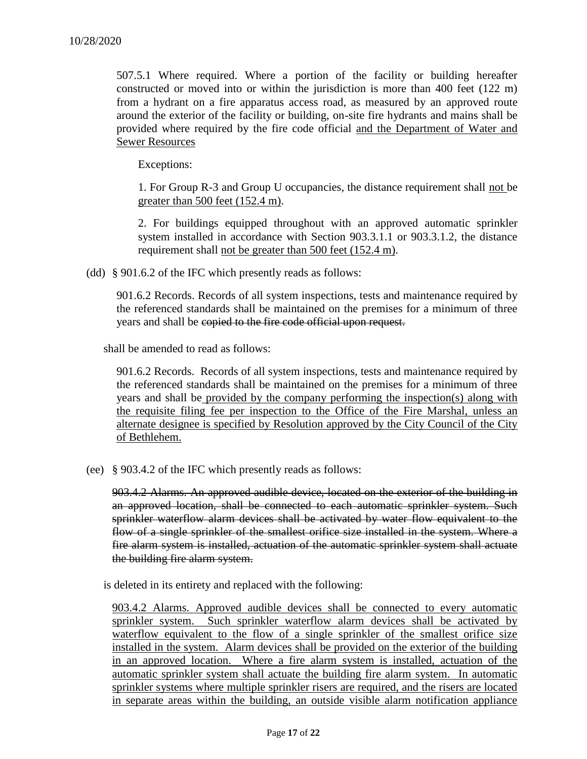507.5.1 Where required. Where a portion of the facility or building hereafter constructed or moved into or within the jurisdiction is more than 400 feet (122 m) from a hydrant on a fire apparatus access road, as measured by an approved route around the exterior of the facility or building, on-site fire hydrants and mains shall be provided where required by the fire code official and the Department of Water and Sewer Resources

Exceptions:

1. For Group R-3 and Group U occupancies, the distance requirement shall not be greater than 500 feet (152.4 m).

2. For buildings equipped throughout with an approved automatic sprinkler system installed in accordance with Section 903.3.1.1 or 903.3.1.2, the distance requirement shall not be greater than 500 feet (152.4 m).

(dd) § 901.6.2 of the IFC which presently reads as follows:

901.6.2 Records. Records of all system inspections, tests and maintenance required by the referenced standards shall be maintained on the premises for a minimum of three years and shall be copied to the fire code official upon request.

shall be amended to read as follows:

901.6.2 Records. Records of all system inspections, tests and maintenance required by the referenced standards shall be maintained on the premises for a minimum of three years and shall be provided by the company performing the inspection(s) along with the requisite filing fee per inspection to the Office of the Fire Marshal, unless an alternate designee is specified by Resolution approved by the City Council of the City of Bethlehem.

(ee) § 903.4.2 of the IFC which presently reads as follows:

903.4.2 Alarms. An approved audible device, located on the exterior of the building in an approved location, shall be connected to each automatic sprinkler system. Such sprinkler waterflow alarm devices shall be activated by water flow equivalent to the flow of a single sprinkler of the smallest orifice size installed in the system. Where a fire alarm system is installed, actuation of the automatic sprinkler system shall actuate the building fire alarm system.

is deleted in its entirety and replaced with the following:

903.4.2 Alarms. Approved audible devices shall be connected to every automatic sprinkler system. Such sprinkler waterflow alarm devices shall be activated by waterflow equivalent to the flow of a single sprinkler of the smallest orifice size installed in the system. Alarm devices shall be provided on the exterior of the building in an approved location. Where a fire alarm system is installed, actuation of the automatic sprinkler system shall actuate the building fire alarm system. In automatic sprinkler systems where multiple sprinkler risers are required, and the risers are located in separate areas within the building, an outside visible alarm notification appliance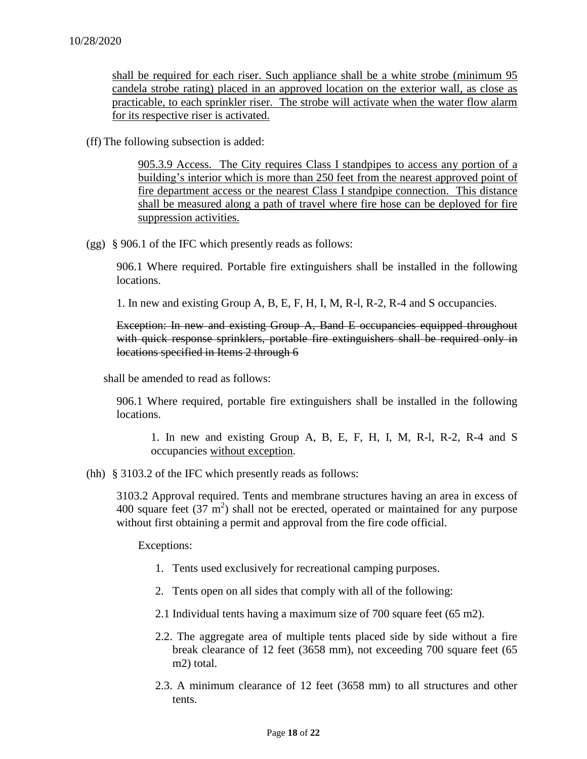shall be required for each riser. Such appliance shall be a white strobe (minimum 95 candela strobe rating) placed in an approved location on the exterior wall, as close as practicable, to each sprinkler riser. The strobe will activate when the water flow alarm for its respective riser is activated.

(ff) The following subsection is added:

905.3.9 Access. The City requires Class I standpipes to access any portion of a building's interior which is more than 250 feet from the nearest approved point of fire department access or the nearest Class I standpipe connection. This distance shall be measured along a path of travel where fire hose can be deployed for fire suppression activities.

(gg) § 906.1 of the IFC which presently reads as follows:

906.1 Where required. Portable fire extinguishers shall be installed in the following locations.

1. In new and existing Group A, B, E, F, H, I, M, R-l, R-2, R-4 and S occupancies.

Exception: In new and existing Group A, Band E occupancies equipped throughout with quick response sprinklers, portable fire extinguishers shall be required only in locations specified in Items 2 through 6

shall be amended to read as follows:

906.1 Where required, portable fire extinguishers shall be installed in the following locations.

1. In new and existing Group A, B, E, F, H, I, M, R-l, R-2, R-4 and S occupancies without exception.

(hh) § 3103.2 of the IFC which presently reads as follows:

3103.2 Approval required. Tents and membrane structures having an area in excess of 400 square feet  $(37 \text{ m}^2)$  shall not be erected, operated or maintained for any purpose without first obtaining a permit and approval from the fire code official.

Exceptions:

- 1. Tents used exclusively for recreational camping purposes.
- 2. Tents open on all sides that comply with all of the following:
- 2.1 Individual tents having a maximum size of 700 square feet (65 m2).
- 2.2. The aggregate area of multiple tents placed side by side without a fire break clearance of 12 feet (3658 mm), not exceeding 700 square feet (65 m2) total.
- 2.3. A minimum clearance of 12 feet (3658 mm) to all structures and other tents.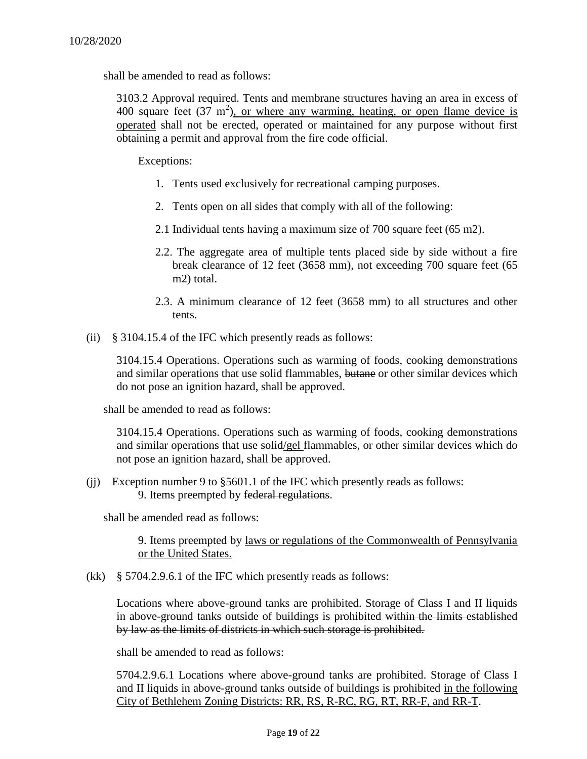shall be amended to read as follows:

3103.2 Approval required. Tents and membrane structures having an area in excess of 400 square feet  $(37 \text{ m}^2)$ , or where any warming, heating, or open flame device is operated shall not be erected, operated or maintained for any purpose without first obtaining a permit and approval from the fire code official.

Exceptions:

- 1. Tents used exclusively for recreational camping purposes.
- 2. Tents open on all sides that comply with all of the following:
- 2.1 Individual tents having a maximum size of 700 square feet (65 m2).
- 2.2. The aggregate area of multiple tents placed side by side without a fire break clearance of 12 feet (3658 mm), not exceeding 700 square feet (65 m2) total.
- 2.3. A minimum clearance of 12 feet (3658 mm) to all structures and other tents.
- (ii) § 3104.15.4 of the IFC which presently reads as follows:

3104.15.4 Operations. Operations such as warming of foods, cooking demonstrations and similar operations that use solid flammables, butane or other similar devices which do not pose an ignition hazard, shall be approved.

shall be amended to read as follows:

3104.15.4 Operations. Operations such as warming of foods, cooking demonstrations and similar operations that use solid/gel flammables, or other similar devices which do not pose an ignition hazard, shall be approved.

(jj) Exception number 9 to §5601.1 of the IFC which presently reads as follows: 9. Items preempted by federal regulations.

shall be amended read as follows:

9. Items preempted by laws or regulations of the Commonwealth of Pennsylvania or the United States.

(kk) § 5704.2.9.6.1 of the IFC which presently reads as follows:

Locations where above-ground tanks are prohibited. Storage of Class I and II liquids in above-ground tanks outside of buildings is prohibited within the limits established by law as the limits of districts in which such storage is prohibited.

shall be amended to read as follows:

5704.2.9.6.1 Locations where above-ground tanks are prohibited. Storage of Class I and II liquids in above-ground tanks outside of buildings is prohibited in the following City of Bethlehem Zoning Districts: RR, RS, R-RC, RG, RT, RR-F, and RR-T.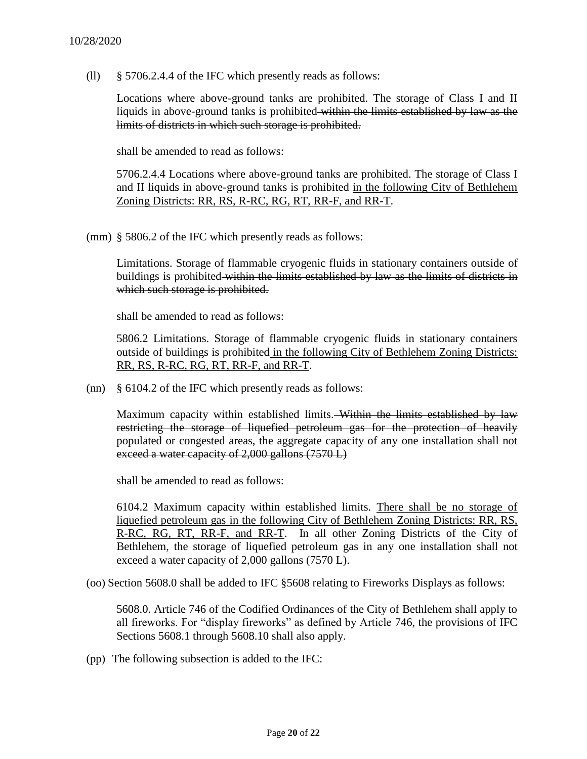(ll) § 5706.2.4.4 of the IFC which presently reads as follows:

Locations where above-ground tanks are prohibited. The storage of Class I and II liquids in above-ground tanks is prohibited within the limits established by law as the limits of districts in which such storage is prohibited.

shall be amended to read as follows:

5706.2.4.4 Locations where above-ground tanks are prohibited. The storage of Class I and II liquids in above-ground tanks is prohibited in the following City of Bethlehem Zoning Districts: RR, RS, R-RC, RG, RT, RR-F, and RR-T.

(mm) § 5806.2 of the IFC which presently reads as follows:

Limitations. Storage of flammable cryogenic fluids in stationary containers outside of buildings is prohibited within the limits established by law as the limits of districts in which such storage is prohibited.

shall be amended to read as follows:

5806.2 Limitations. Storage of flammable cryogenic fluids in stationary containers outside of buildings is prohibited in the following City of Bethlehem Zoning Districts: RR, RS, R-RC, RG, RT, RR-F, and RR-T.

(nn) § 6104.2 of the IFC which presently reads as follows:

Maximum capacity within established limits. Within the limits established by law restricting the storage of liquefied petroleum gas for the protection of heavily populated or congested areas, the aggregate capacity of any one installation shall not exceed a water capacity of 2,000 gallons (7570 L)

shall be amended to read as follows:

6104.2 Maximum capacity within established limits. There shall be no storage of liquefied petroleum gas in the following City of Bethlehem Zoning Districts: RR, RS, R-RC, RG, RT, RR-F, and RR-T. In all other Zoning Districts of the City of Bethlehem, the storage of liquefied petroleum gas in any one installation shall not exceed a water capacity of 2,000 gallons (7570 L).

(oo) Section 5608.0 shall be added to IFC §5608 relating to Fireworks Displays as follows:

5608.0. Article 746 of the Codified Ordinances of the City of Bethlehem shall apply to all fireworks. For "display fireworks" as defined by Article 746, the provisions of IFC Sections 5608.1 through 5608.10 shall also apply.

(pp) The following subsection is added to the IFC: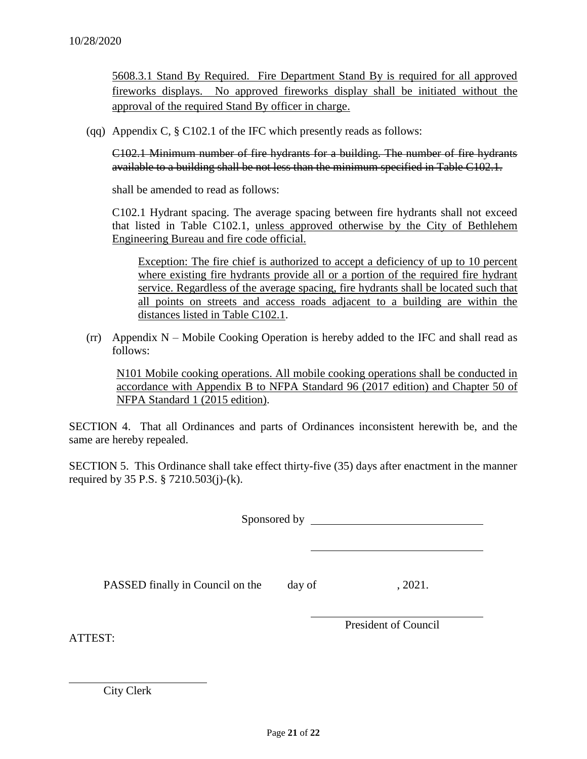5608.3.1 Stand By Required. Fire Department Stand By is required for all approved fireworks displays. No approved fireworks display shall be initiated without the approval of the required Stand By officer in charge.

(qq) Appendix C, § C102.1 of the IFC which presently reads as follows:

C102.1 Minimum number of fire hydrants for a building. The number of fire hydrants available to a building shall be not less than the minimum specified in Table C102.1.

shall be amended to read as follows:

C102.1 Hydrant spacing. The average spacing between fire hydrants shall not exceed that listed in Table C102.1, unless approved otherwise by the City of Bethlehem Engineering Bureau and fire code official.

Exception: The fire chief is authorized to accept a deficiency of up to 10 percent where existing fire hydrants provide all or a portion of the required fire hydrant service. Regardless of the average spacing, fire hydrants shall be located such that all points on streets and access roads adjacent to a building are within the distances listed in Table C102.1.

 $(\text{rr})$  Appendix N – Mobile Cooking Operation is hereby added to the IFC and shall read as follows:

N101 Mobile cooking operations. All mobile cooking operations shall be conducted in accordance with Appendix B to NFPA Standard 96 (2017 edition) and Chapter 50 of NFPA Standard 1 (2015 edition).

SECTION 4. That all Ordinances and parts of Ordinances inconsistent herewith be, and the same are hereby repealed.

SECTION 5. This Ordinance shall take effect thirty-five (35) days after enactment in the manner required by 35 P.S. § 7210.503(j)-(k).

Sponsored by

PASSED finally in Council on the day of , 2021.

ATTEST:

President of Council

City Clerk